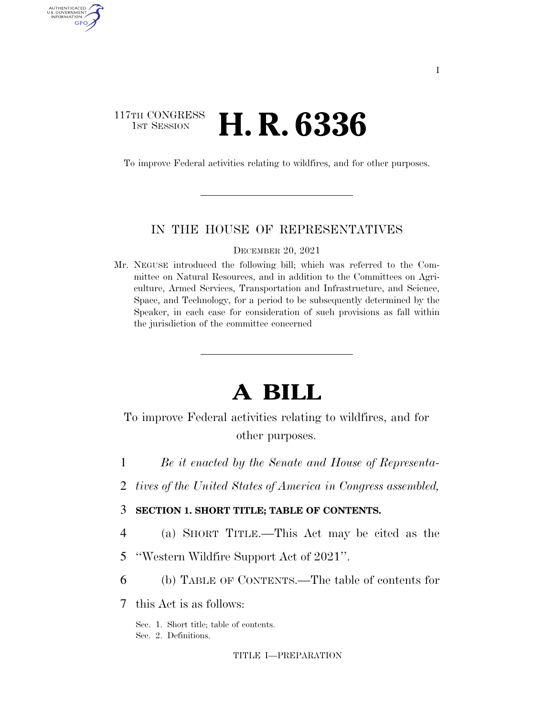### 117TH CONGRESS **1ST SESSION <b>H. R. 6336**

AUTHENTICATED U.S. GOVERNMENT GPO

To improve Federal activities relating to wildfires, and for other purposes.

### IN THE HOUSE OF REPRESENTATIVES

DECEMBER 20, 2021

Mr. NEGUSE introduced the following bill; which was referred to the Committee on Natural Resources, and in addition to the Committees on Agriculture, Armed Services, Transportation and Infrastructure, and Science, Space, and Technology, for a period to be subsequently determined by the Speaker, in each case for consideration of such provisions as fall within the jurisdiction of the committee concerned

# **A BILL**

To improve Federal activities relating to wildfires, and for other purposes.

1 *Be it enacted by the Senate and House of Representa-*

- 2 *tives of the United States of America in Congress assembled,*
- 3 **SECTION 1. SHORT TITLE; TABLE OF CONTENTS.**
- 4 (a) SHORT TITLE.—This Act may be cited as the
- 5 ''Western Wildfire Support Act of 2021''.
- 6 (b) TABLE OF CONTENTS.—The table of contents for

7 this Act is as follows:

Sec. 1. Short title; table of contents. Sec. 2. Definitions.

TITLE I—PREPARATION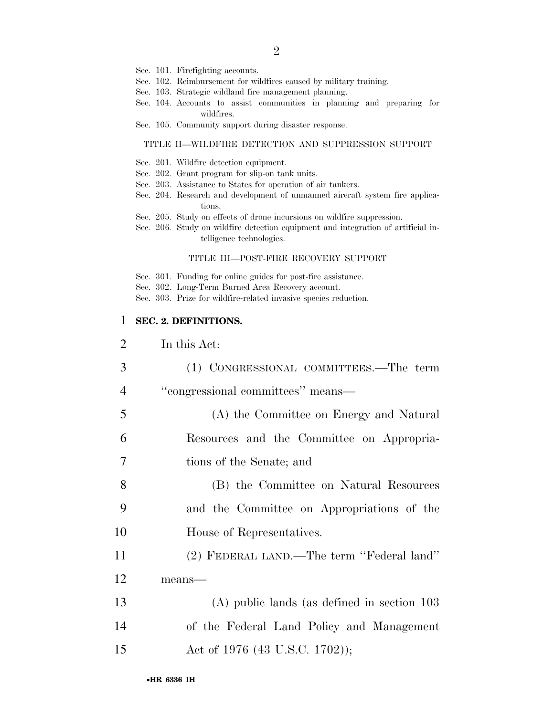- Sec. 101. Firefighting accounts.
- Sec. 102. Reimbursement for wildfires caused by military training.
- Sec. 103. Strategic wildland fire management planning.
- Sec. 104. Accounts to assist communities in planning and preparing for wildfires.
- Sec. 105. Community support during disaster response.

#### TITLE II—WILDFIRE DETECTION AND SUPPRESSION SUPPORT

- Sec. 201. Wildfire detection equipment.
- Sec. 202. Grant program for slip-on tank units.
- Sec. 203. Assistance to States for operation of air tankers.
- Sec. 204. Research and development of unmanned aircraft system fire applications.
- Sec. 205. Study on effects of drone incursions on wildfire suppression.
- Sec. 206. Study on wildfire detection equipment and integration of artificial intelligence technologies.

#### TITLE III—POST-FIRE RECOVERY SUPPORT

- Sec. 301. Funding for online guides for post-fire assistance.
- Sec. 302. Long-Term Burned Area Recovery account.
- Sec. 303. Prize for wildfire-related invasive species reduction.

### 1 **SEC. 2. DEFINITIONS.**

| $\overline{2}$ | In this Act:                                  |
|----------------|-----------------------------------------------|
| 3              | (1) CONGRESSIONAL COMMITTEES.—The term        |
| $\overline{4}$ | "congressional committees" means-             |
| 5              | (A) the Committee on Energy and Natural       |
| 6              | Resources and the Committee on Appropria-     |
| $\overline{7}$ | tions of the Senate; and                      |
| 8              | (B) the Committee on Natural Resources        |
| 9              | and the Committee on Appropriations of the    |
| 10             | House of Representatives.                     |
| 11             | (2) FEDERAL LAND.—The term "Federal land"     |
| 12             | means-                                        |
| 13             | $(A)$ public lands (as defined in section 103 |
| 14             | of the Federal Land Policy and Management     |
| 15             | Act of 1976 (43 U.S.C. 1702));                |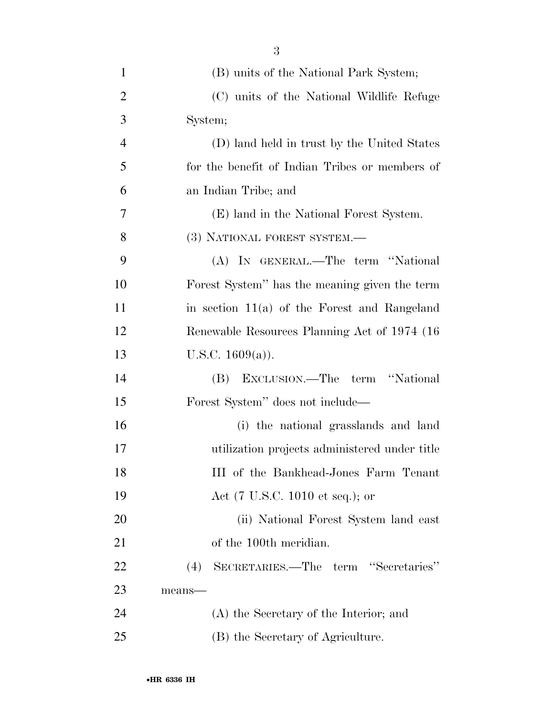| $\mathbf{1}$   | (B) units of the National Park System;         |
|----------------|------------------------------------------------|
| 2              | (C) units of the National Wildlife Refuge      |
| 3              | System;                                        |
| $\overline{4}$ | (D) land held in trust by the United States    |
| 5              | for the benefit of Indian Tribes or members of |
| 6              | an Indian Tribe; and                           |
| 7              | (E) land in the National Forest System.        |
| 8              | (3) NATIONAL FOREST SYSTEM.—                   |
| 9              | (A) IN GENERAL.—The term "National             |
| 10             | Forest System" has the meaning given the term  |
| 11             | in section $11(a)$ of the Forest and Rangeland |
| 12             | Renewable Resources Planning Act of 1974 (16)  |
| 13             | U.S.C. $1609(a)$ ).                            |
| 14             | EXCLUSION.—The term "National<br>(B)           |
| 15             | Forest System" does not include—               |
| 16             | (i) the national grasslands and land           |
| 17             | utilization projects administered under title  |
| 18             | III of the Bankhead-Jones Farm Tenant          |
| 19             | Act (7 U.S.C. 1010 et seq.); or                |
| 20             | (ii) National Forest System land east          |
| 21             | of the 100 <sup>th</sup> meridian.             |
| 22             | SECRETARIES.—The term "Secretaries"<br>(4)     |
| 23             | means-                                         |
| 24             | (A) the Secretary of the Interior; and         |
| 25             | (B) the Secretary of Agriculture.              |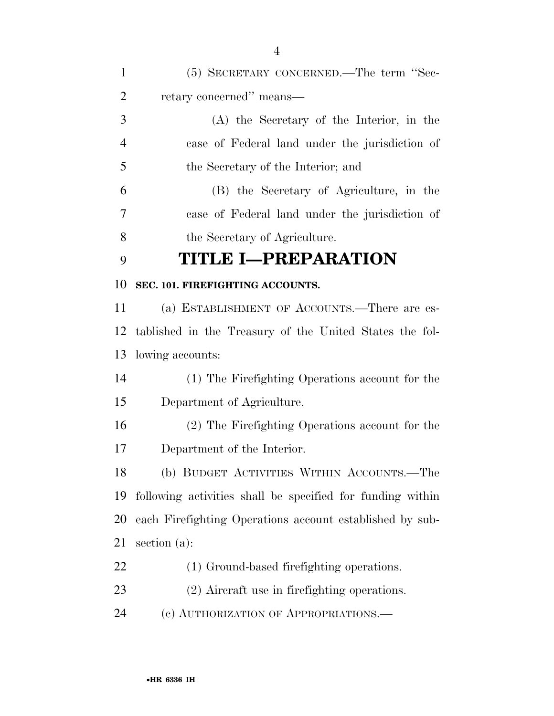| $\mathbf{1}$   | (5) SECRETARY CONCERNED.—The term "Sec-                    |
|----------------|------------------------------------------------------------|
| $\overline{2}$ | retary concerned" means—                                   |
| 3              | (A) the Secretary of the Interior, in the                  |
| $\overline{4}$ | case of Federal land under the jurisdiction of             |
| 5              | the Secretary of the Interior; and                         |
| 6              | (B) the Secretary of Agriculture, in the                   |
| 7              | case of Federal land under the jurisdiction of             |
| 8              | the Secretary of Agriculture.                              |
| 9              | <b>TITLE I-PREPARATION</b>                                 |
| 10             | SEC. 101. FIREFIGHTING ACCOUNTS.                           |
| 11             | (a) ESTABLISHMENT OF ACCOUNTS.—There are es-               |
| 12             | tablished in the Treasury of the United States the fol-    |
| 13             | lowing accounts:                                           |
| 14             | (1) The Firefighting Operations account for the            |
| 15             | Department of Agriculture.                                 |
| 16             | (2) The Firefighting Operations account for the            |
| 17             | Department of the Interior.                                |
| 18             | (b) BUDGET ACTIVITIES WITHIN ACCOUNTS.—The                 |
| 19             | following activities shall be specified for funding within |
| <b>20</b>      | each Firefighting Operations account established by sub-   |
| 21             | section $(a)$ :                                            |
| 22             | (1) Ground-based firefighting operations.                  |
| 23             | (2) Aircraft use in firefighting operations.               |
| 24             | (c) AUTHORIZATION OF APPROPRIATIONS.—                      |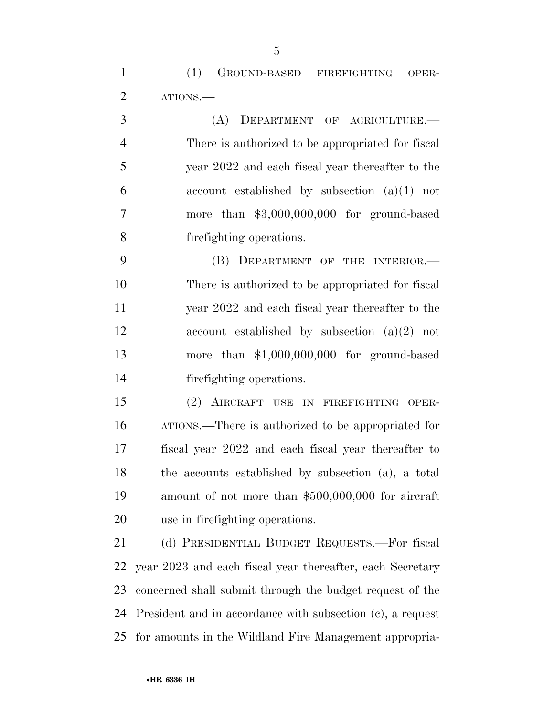(1) GROUND-BASED FIREFIGHTING OPER-ATIONS.—

 (A) DEPARTMENT OF AGRICULTURE.— There is authorized to be appropriated for fiscal year 2022 and each fiscal year thereafter to the account established by subsection (a)(1) not more than \$3,000,000,000 for ground-based firefighting operations.

 (B) DEPARTMENT OF THE INTERIOR.— There is authorized to be appropriated for fiscal year 2022 and each fiscal year thereafter to the account established by subsection (a)(2) not more than \$1,000,000,000 for ground-based firefighting operations.

 (2) AIRCRAFT USE IN FIREFIGHTING OPER- ATIONS.—There is authorized to be appropriated for fiscal year 2022 and each fiscal year thereafter to the accounts established by subsection (a), a total amount of not more than \$500,000,000 for aircraft use in firefighting operations.

 (d) PRESIDENTIAL BUDGET REQUESTS.—For fiscal year 2023 and each fiscal year thereafter, each Secretary concerned shall submit through the budget request of the President and in accordance with subsection (c), a request for amounts in the Wildland Fire Management appropria-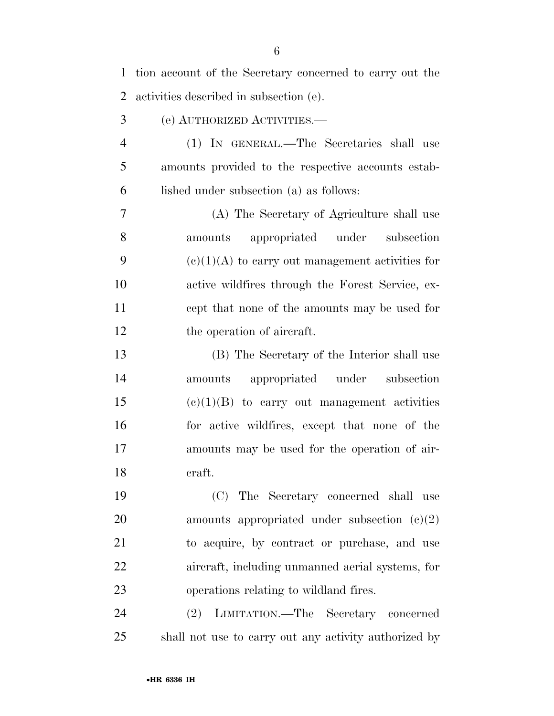| $\mathbf{1}$   | tion account of the Secretary concerned to carry out the |
|----------------|----------------------------------------------------------|
| $\overline{2}$ | activities described in subsection (e).                  |
| 3              | (e) AUTHORIZED ACTIVITIES.—                              |
| $\overline{4}$ | (1) IN GENERAL.—The Secretaries shall use                |
| 5              | amounts provided to the respective accounts estab-       |
| 6              | lished under subsection (a) as follows:                  |
| 7              | (A) The Secretary of Agriculture shall use               |
| 8              | appropriated under subsection<br>amounts                 |
| 9              | $(e)(1)(A)$ to carry out management activities for       |
| 10             | active wildfires through the Forest Service, ex-         |
| 11             | cept that none of the amounts may be used for            |
| 12             | the operation of aircraft.                               |
| 13             | (B) The Secretary of the Interior shall use              |
| 14             | appropriated under subsection<br>amounts                 |
| 15             | $(e)(1)(B)$ to carry out management activities           |
| 16             | for active wildfires, except that none of the            |
| 17             | amounts may be used for the operation of air-            |
| 18             | craft.                                                   |
| 19             | (C) The Secretary concerned shall use                    |
| 20             | amounts appropriated under subsection $(c)(2)$           |
| 21             | to acquire, by contract or purchase, and use             |
| 22             | aircraft, including unmanned aerial systems, for         |
| 23             | operations relating to wildland fires.                   |
| 24             | (2) LIMITATION.—The Secretary concerned                  |
| 25             | shall not use to carry out any activity authorized by    |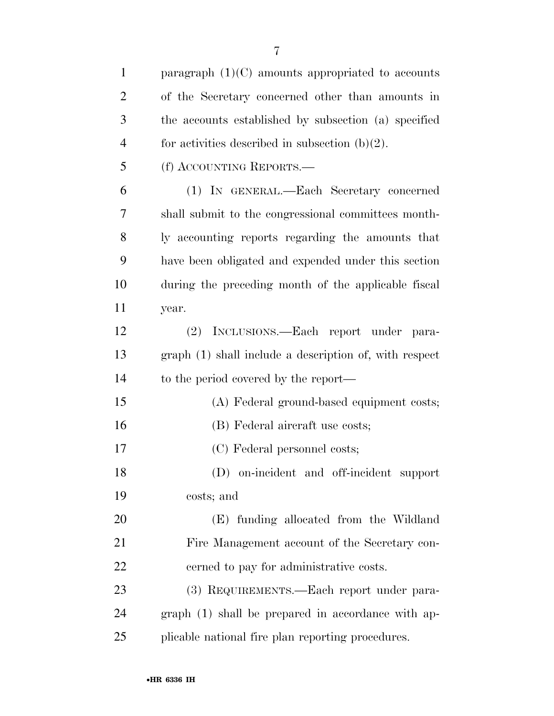| $\mathbf{1}$   | paragraph $(1)(C)$ amounts appropriated to accounts    |
|----------------|--------------------------------------------------------|
| $\overline{2}$ | of the Secretary concerned other than amounts in       |
| 3              | the accounts established by subsection (a) specified   |
| $\overline{4}$ | for activities described in subsection $(b)(2)$ .      |
| 5              | (f) ACCOUNTING REPORTS.                                |
| 6              | (1) IN GENERAL.—Each Secretary concerned               |
| 7              | shall submit to the congressional committees month-    |
| 8              | ly accounting reports regarding the amounts that       |
| 9              | have been obligated and expended under this section    |
| 10             | during the preceding month of the applicable fiscal    |
| 11             | year.                                                  |
| 12             | (2) INCLUSIONS.—Each report under para-                |
| 13             | graph (1) shall include a description of, with respect |
| 14             | to the period covered by the report—                   |
| 15             | (A) Federal ground-based equipment costs;              |
| 16             | (B) Federal aircraft use costs;                        |
| 17             | (C) Federal personnel costs;                           |
| 18             | (D) on-incident and off-incident support               |
| 19             | costs; and                                             |
| 20             | (E) funding allocated from the Wildland                |
| 21             | Fire Management account of the Secretary con-          |
| 22             | cerned to pay for administrative costs.                |
| 23             | (3) REQUIREMENTS.—Each report under para-              |
| 24             | graph (1) shall be prepared in accordance with ap-     |
| 25             | plicable national fire plan reporting procedures.      |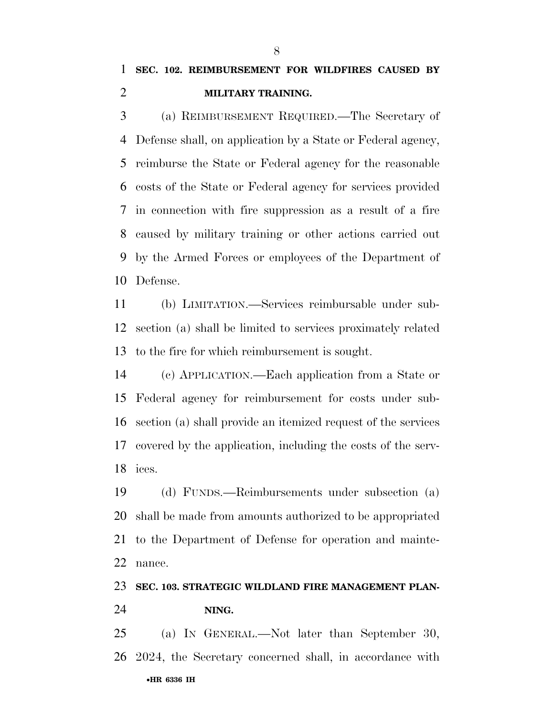(a) REIMBURSEMENT REQUIRED.—The Secretary of Defense shall, on application by a State or Federal agency, reimburse the State or Federal agency for the reasonable costs of the State or Federal agency for services provided in connection with fire suppression as a result of a fire caused by military training or other actions carried out by the Armed Forces or employees of the Department of Defense.

 (b) LIMITATION.—Services reimbursable under sub- section (a) shall be limited to services proximately related to the fire for which reimbursement is sought.

 (c) APPLICATION.—Each application from a State or Federal agency for reimbursement for costs under sub- section (a) shall provide an itemized request of the services covered by the application, including the costs of the serv-ices.

 (d) FUNDS.—Reimbursements under subsection (a) shall be made from amounts authorized to be appropriated to the Department of Defense for operation and mainte-nance.

### **SEC. 103. STRATEGIC WILDLAND FIRE MANAGEMENT PLAN-**

### **NING.**

•**HR 6336 IH** (a) IN GENERAL.—Not later than September 30, 2024, the Secretary concerned shall, in accordance with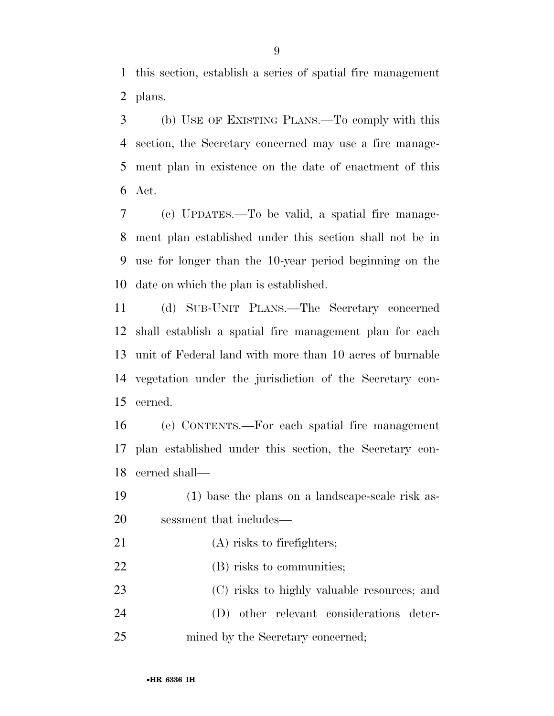this section, establish a series of spatial fire management plans.

 (b) USE OF EXISTING PLANS.—To comply with this section, the Secretary concerned may use a fire manage- ment plan in existence on the date of enactment of this Act.

 (c) UPDATES.—To be valid, a spatial fire manage- ment plan established under this section shall not be in use for longer than the 10-year period beginning on the date on which the plan is established.

 (d) SUB-UNIT PLANS.—The Secretary concerned shall establish a spatial fire management plan for each unit of Federal land with more than 10 acres of burnable vegetation under the jurisdiction of the Secretary con-cerned.

 (e) CONTENTS.—For each spatial fire management plan established under this section, the Secretary con-cerned shall—

- (1) base the plans on a landscape-scale risk as-sessment that includes—
- 21 (A) risks to firefighters;
- 22 (B) risks to communities;

 (C) risks to highly valuable resources; and (D) other relevant considerations deter-25 mined by the Secretary concerned;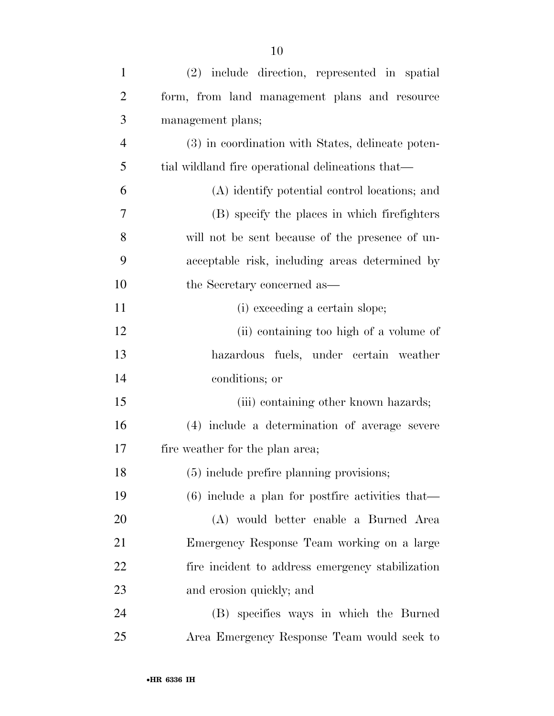| $\mathbf{1}$   | (2) include direction, represented in spatial      |
|----------------|----------------------------------------------------|
| $\overline{2}$ | form, from land management plans and resource      |
| 3              | management plans;                                  |
| $\overline{4}$ | (3) in coordination with States, delineate poten-  |
| 5              | tial wildland fire operational delineations that—  |
| 6              | (A) identify potential control locations; and      |
| $\overline{7}$ | (B) specify the places in which firefighters       |
| 8              | will not be sent because of the presence of un-    |
| 9              | acceptable risk, including areas determined by     |
| 10             | the Secretary concerned as—                        |
| 11             | (i) exceeding a certain slope;                     |
| 12             | (ii) containing too high of a volume of            |
| 13             | hazardous fuels, under certain weather             |
| 14             | conditions; or                                     |
| 15             | (iii) containing other known hazards;              |
| 16             | (4) include a determination of average severe      |
| 17             | fire weather for the plan area;                    |
| 18             | (5) include prefire planning provisions;           |
| 19             | $(6)$ include a plan for postfire activities that— |
| 20             | (A) would better enable a Burned Area              |
| 21             | Emergency Response Team working on a large         |
| 22             | fire incident to address emergency stabilization   |
| 23             | and erosion quickly; and                           |
| 24             | (B) specifies ways in which the Burned             |

Area Emergency Response Team would seek to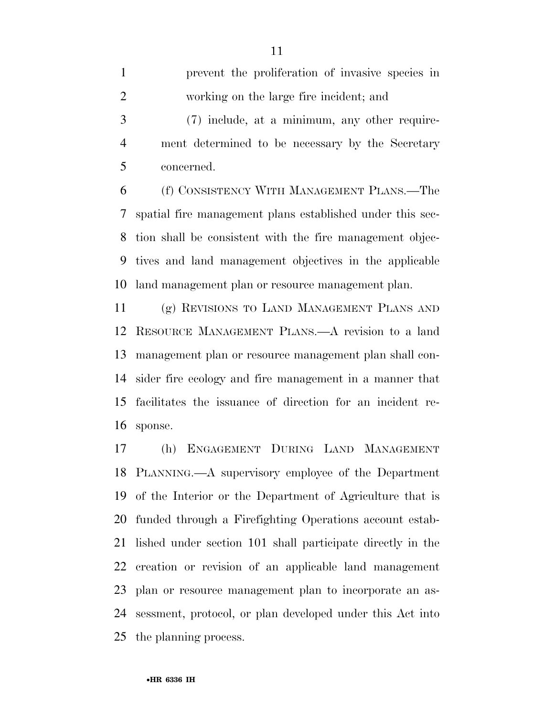tion shall be consistent with the fire management objec- tives and land management objectives in the applicable land management plan or resource management plan.

 (g) REVISIONS TO LAND MANAGEMENT PLANS AND RESOURCE MANAGEMENT PLANS.—A revision to a land management plan or resource management plan shall con- sider fire ecology and fire management in a manner that facilitates the issuance of direction for an incident re-sponse.

 (h) ENGAGEMENT DURING LAND MANAGEMENT PLANNING.—A supervisory employee of the Department of the Interior or the Department of Agriculture that is funded through a Firefighting Operations account estab- lished under section 101 shall participate directly in the creation or revision of an applicable land management plan or resource management plan to incorporate an as- sessment, protocol, or plan developed under this Act into the planning process.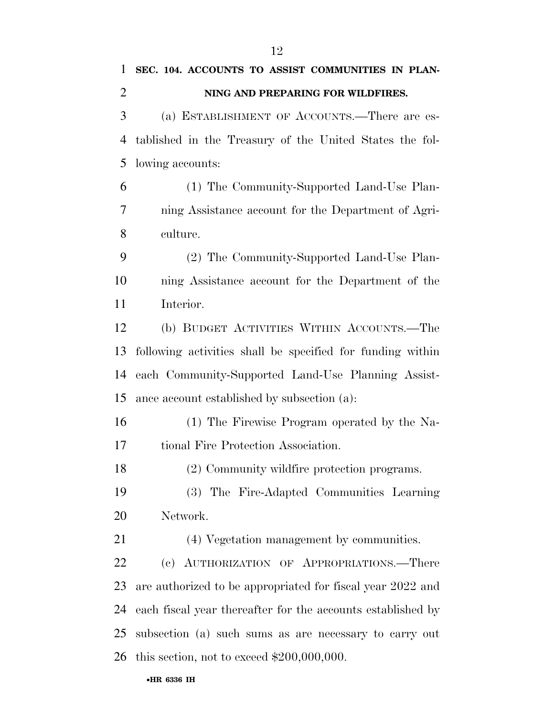| 1              | SEC. 104. ACCOUNTS TO ASSIST COMMUNITIES IN PLAN-           |
|----------------|-------------------------------------------------------------|
| $\overline{2}$ | NING AND PREPARING FOR WILDFIRES.                           |
| 3              | (a) ESTABLISHMENT OF ACCOUNTS.—There are es-                |
| 4              | tablished in the Treasury of the United States the fol-     |
| 5              | lowing accounts:                                            |
| 6              | (1) The Community-Supported Land-Use Plan-                  |
| 7              | ning Assistance account for the Department of Agri-         |
| 8              | culture.                                                    |
| 9              | (2) The Community-Supported Land-Use Plan-                  |
| 10             | ning Assistance account for the Department of the           |
| 11             | Interior.                                                   |
| 12             | (b) BUDGET ACTIVITIES WITHIN ACCOUNTS.—The                  |
| 13             | following activities shall be specified for funding within  |
| 14             | each Community-Supported Land-Use Planning Assist-          |
| 15             | ance account established by subsection (a):                 |
| 16             | (1) The Firewise Program operated by the Na-                |
| 17             | tional Fire Protection Association.                         |
| 18             | (2) Community wildfire protection programs.                 |
| 19             | (3) The Fire-Adapted Communities Learning                   |
| 20             | Network.                                                    |
| 21             | (4) Vegetation management by communities.                   |
| 22             | (c) AUTHORIZATION OF APPROPRIATIONS.—There                  |
| 23             | are authorized to be appropriated for fiscal year 2022 and  |
| 24             | each fiscal year thereafter for the accounts established by |
| 25             | subsection (a) such sums as are necessary to carry out      |
| 26             | this section, not to exceed $$200,000,000$ .                |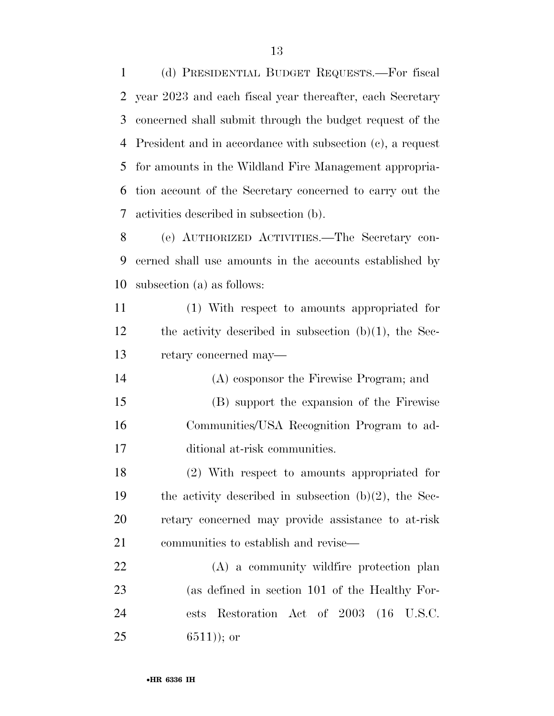(d) PRESIDENTIAL BUDGET REQUESTS.—For fiscal year 2023 and each fiscal year thereafter, each Secretary concerned shall submit through the budget request of the President and in accordance with subsection (c), a request for amounts in the Wildland Fire Management appropria- tion account of the Secretary concerned to carry out the activities described in subsection (b).

 (e) AUTHORIZED ACTIVITIES.—The Secretary con- cerned shall use amounts in the accounts established by subsection (a) as follows:

 (1) With respect to amounts appropriated for the activity described in subsection (b)(1), the Sec-retary concerned may—

 (A) cosponsor the Firewise Program; and (B) support the expansion of the Firewise Communities/USA Recognition Program to ad-ditional at-risk communities.

 (2) With respect to amounts appropriated for the activity described in subsection (b)(2), the Sec- retary concerned may provide assistance to at-risk communities to establish and revise—

 (A) a community wildfire protection plan (as defined in section 101 of the Healthy For- ests Restoration Act of 2003 (16 U.S.C. ); or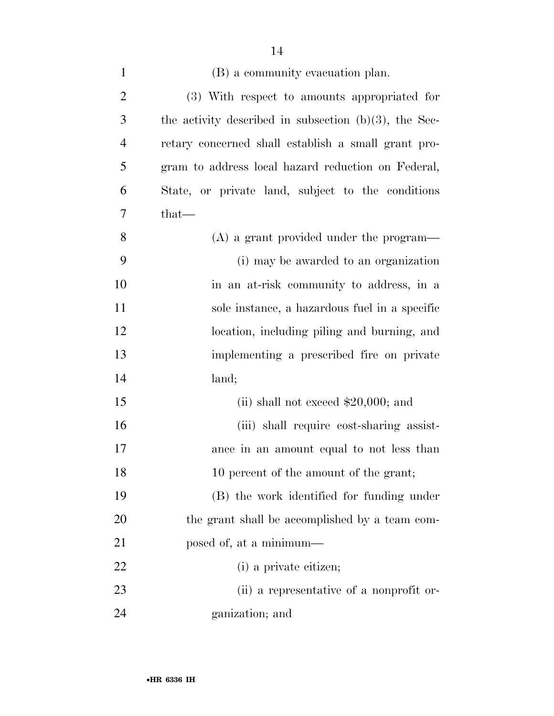| $\mathbf{1}$   | (B) a community evacuation plan.                         |
|----------------|----------------------------------------------------------|
| $\overline{2}$ | (3) With respect to amounts appropriated for             |
| 3              | the activity described in subsection $(b)(3)$ , the Sec- |
| $\overline{4}$ | retary concerned shall establish a small grant pro-      |
| 5              | gram to address local hazard reduction on Federal,       |
| 6              | State, or private land, subject to the conditions        |
| 7              | $that-$                                                  |
| 8              | $(A)$ a grant provided under the program—                |
| 9              | (i) may be awarded to an organization                    |
| 10             | in an at-risk community to address, in a                 |
| 11             | sole instance, a hazardous fuel in a specific            |
| 12             | location, including piling and burning, and              |
| 13             | implementing a prescribed fire on private                |
| 14             | land;                                                    |
| 15             | (ii) shall not exceed $$20,000$ ; and                    |
| 16             | (iii) shall require cost-sharing assist-                 |
| 17             | ance in an amount equal to not less than                 |
| 18             | 10 percent of the amount of the grant;                   |
| 19             | (B) the work identified for funding under                |
| 20             | the grant shall be accomplished by a team com-           |
| 21             | posed of, at a minimum—                                  |
| 22             | (i) a private citizen;                                   |
| 23             | (ii) a representative of a nonprofit or-                 |
| 24             | ganization; and                                          |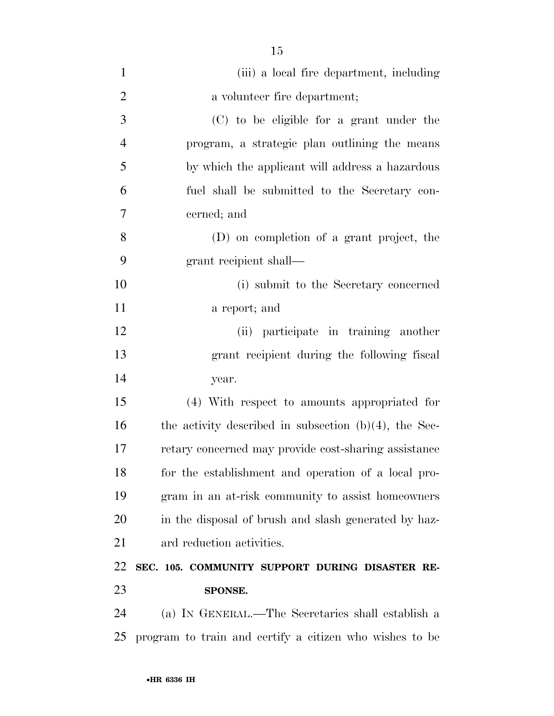| $\mathbf{1}$   | (iii) a local fire department, including                 |
|----------------|----------------------------------------------------------|
| $\overline{2}$ | a volunteer fire department;                             |
| 3              | (C) to be eligible for a grant under the                 |
| $\overline{4}$ | program, a strategic plan outlining the means            |
| 5              | by which the applicant will address a hazardous          |
| 6              | fuel shall be submitted to the Secretary con-            |
| 7              | cerned; and                                              |
| 8              | (D) on completion of a grant project, the                |
| 9              | grant recipient shall—                                   |
| 10             | (i) submit to the Secretary concerned                    |
| 11             | a report; and                                            |
| 12             | (ii) participate in training another                     |
| 13             | grant recipient during the following fiscal              |
| 14             | year.                                                    |
| 15             | (4) With respect to amounts appropriated for             |
| 16             | the activity described in subsection $(b)(4)$ , the Sec- |
| 17             | retary concerned may provide cost-sharing assistance     |
| 18             | for the establishment and operation of a local pro-      |
| 19             | gram in an at-risk community to assist homeowners        |
| 20             | in the disposal of brush and slash generated by haz-     |
| 21             | ard reduction activities.                                |
| 22             | SEC. 105. COMMUNITY SUPPORT DURING DISASTER RE-          |
| 23             | SPONSE.                                                  |
| 24             | (a) IN GENERAL.—The Secretaries shall establish a        |
| 25             | program to train and certify a citizen who wishes to be  |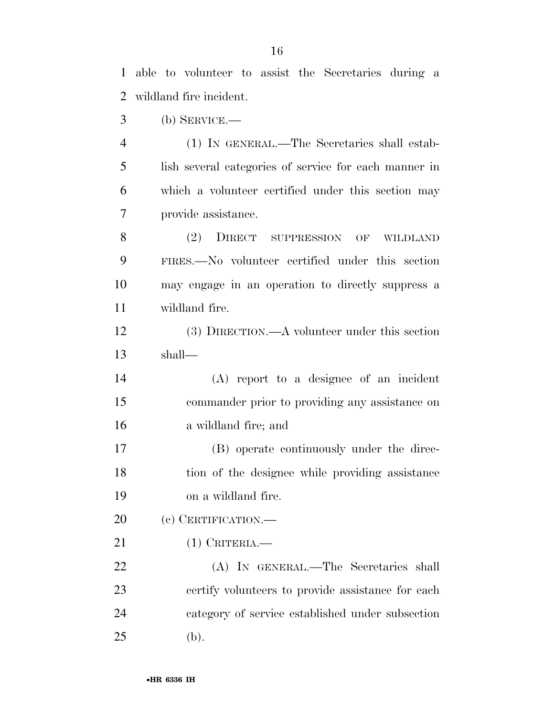able to volunteer to assist the Secretaries during a wildland fire incident.

(b) SERVICE.—

 (1) IN GENERAL.—The Secretaries shall estab- lish several categories of service for each manner in which a volunteer certified under this section may provide assistance.

 (2) DIRECT SUPPRESSION OF WILDLAND FIRES.—No volunteer certified under this section may engage in an operation to directly suppress a wildland fire.

 (3) DIRECTION.—A volunteer under this section shall—

 (A) report to a designee of an incident commander prior to providing any assistance on a wildland fire; and

 (B) operate continuously under the direc- tion of the designee while providing assistance on a wildland fire.

20 (c) CERTIFICATION.—

(1) CRITERIA.—

 (A) IN GENERAL.—The Secretaries shall certify volunteers to provide assistance for each category of service established under subsection (b).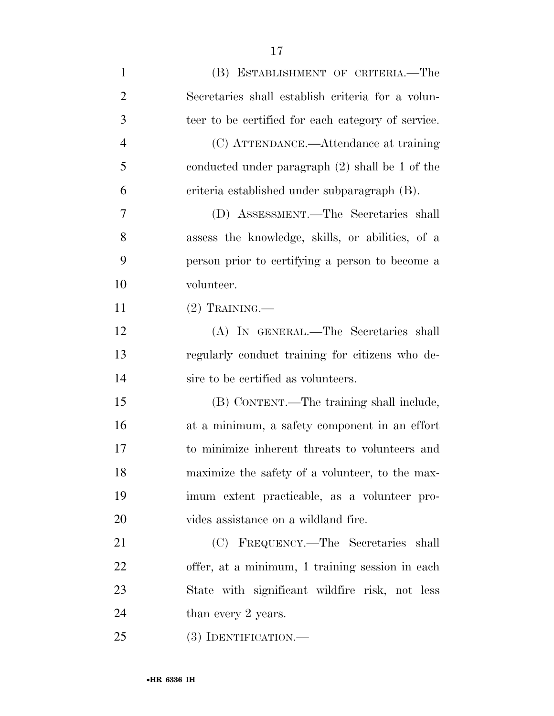| $\mathbf{1}$   | (B) ESTABLISHMENT OF CRITERIA.—The                 |
|----------------|----------------------------------------------------|
| $\overline{2}$ | Secretaries shall establish criteria for a volun-  |
| 3              | teer to be certified for each category of service. |
| $\overline{4}$ | (C) ATTENDANCE.—Attendance at training             |
| 5              | conducted under paragraph $(2)$ shall be 1 of the  |
| 6              | criteria established under subparagraph (B).       |
| 7              | (D) ASSESSMENT.—The Secretaries shall              |
| 8              | assess the knowledge, skills, or abilities, of a   |
| 9              | person prior to certifying a person to become a    |
| 10             | volunteer.                                         |
| 11             | $(2)$ TRAINING.—                                   |
| 12             | (A) IN GENERAL.—The Secretaries shall              |
| 13             | regularly conduct training for citizens who de-    |
| 14             | sire to be certified as volunteers.                |
| 15             | (B) CONTENT.—The training shall include,           |
| 16             | at a minimum, a safety component in an effort      |
| 17             | to minimize inherent threats to volunteers and     |
| 18             | maximize the safety of a volunteer, to the max-    |
| 19             | imum extent practicable, as a volunteer pro-       |
| 20             | vides assistance on a wildland fire.               |
| 21             | (C) FREQUENCY.—The Secretaries shall               |
| 22             | offer, at a minimum, 1 training session in each    |
| 23             | State with significant wildfire risk, not less     |
| 24             | than every 2 years.                                |
| 25             | $(3)$ IDENTIFICATION.—                             |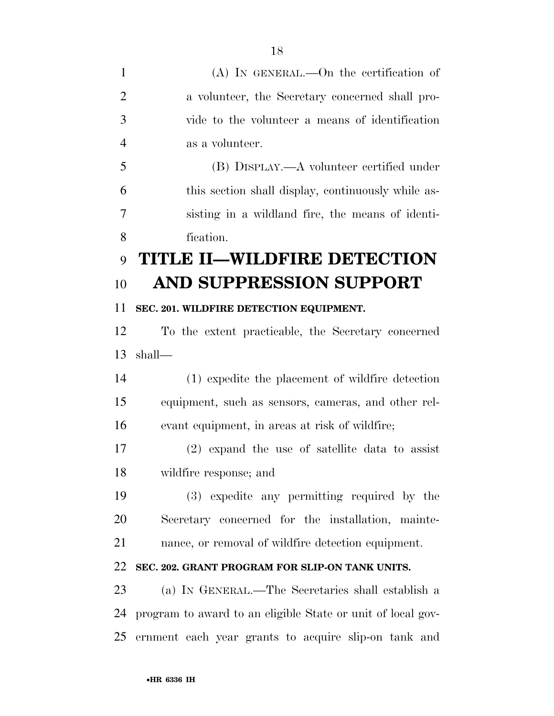(A) IN GENERAL.—On the certification of a volunteer, the Secretary concerned shall pro- vide to the volunteer a means of identification as a volunteer. (B) DISPLAY.—A volunteer certified under this section shall display, continuously while as- sisting in a wildland fire, the means of identi- fication. **TITLE II—WILDFIRE DETECTION AND SUPPRESSION SUPPORT SEC. 201. WILDFIRE DETECTION EQUIPMENT.**  To the extent practicable, the Secretary concerned shall— (1) expedite the placement of wildfire detection equipment, such as sensors, cameras, and other rel- evant equipment, in areas at risk of wildfire; (2) expand the use of satellite data to assist wildfire response; and (3) expedite any permitting required by the Secretary concerned for the installation, mainte- nance, or removal of wildfire detection equipment. **SEC. 202. GRANT PROGRAM FOR SLIP-ON TANK UNITS.**  (a) IN GENERAL.—The Secretaries shall establish a program to award to an eligible State or unit of local gov-ernment each year grants to acquire slip-on tank and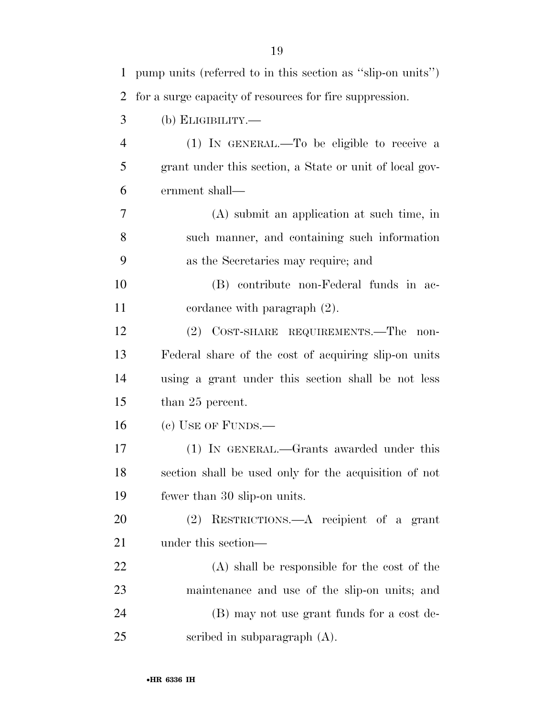| $\mathbf{1}$   | pump units (referred to in this section as "slip-on units") |
|----------------|-------------------------------------------------------------|
| $\overline{2}$ | for a surge capacity of resources for fire suppression.     |
| 3              | $(b)$ ELIGIBILITY.—                                         |
| $\overline{4}$ | (1) IN GENERAL.—To be eligible to receive a                 |
| 5              | grant under this section, a State or unit of local gov-     |
| 6              | ernment shall—                                              |
| 7              | $(A)$ submit an application at such time, in                |
| 8              | such manner, and containing such information                |
| 9              | as the Secretaries may require; and                         |
| 10             | (B) contribute non-Federal funds in ac-                     |
| 11             | cordance with paragraph $(2)$ .                             |
| 12             | (2) COST-SHARE REQUIREMENTS.—The<br>non-                    |
| 13             | Federal share of the cost of acquiring slip-on units        |
| 14             | using a grant under this section shall be not less          |
| 15             | than 25 percent.                                            |
| 16             | $(c)$ USE OF FUNDS.—                                        |
| 17             | (1) IN GENERAL.—Grants awarded under this                   |
| 18             | section shall be used only for the acquisition of not       |
| 19             | fewer than 30 slip-on units.                                |
| 20             | (2) RESTRICTIONS.—A recipient of a grant                    |
| 21             | under this section—                                         |
| 22             | (A) shall be responsible for the cost of the                |
| 23             | maintenance and use of the slip-on units; and               |
| 24             | (B) may not use grant funds for a cost de-                  |
| 25             | scribed in subparagraph $(A)$ .                             |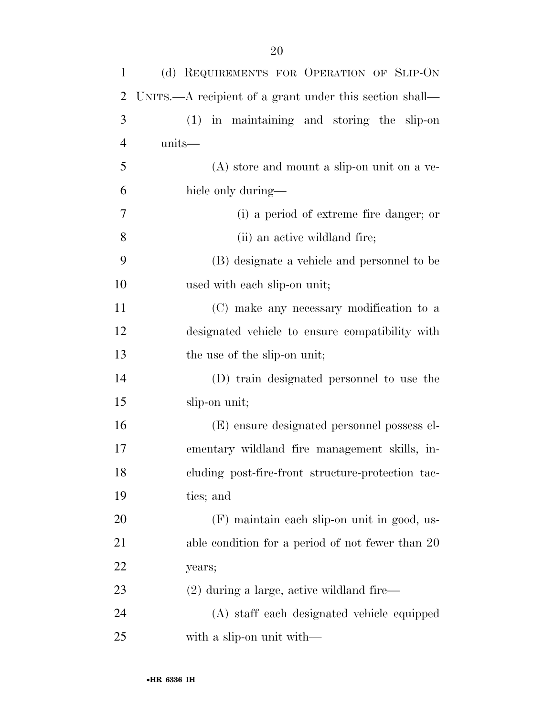| $\mathbf{1}$     | (d) REQUIREMENTS FOR OPERATION OF SLIP-ON               |
|------------------|---------------------------------------------------------|
| 2                | UNITS.—A recipient of a grant under this section shall— |
| 3                | (1) in maintaining and storing the slip-on              |
| 4                | units—                                                  |
| 5                | (A) store and mount a slip-on unit on a ve-             |
| 6                | hicle only during—                                      |
| $\boldsymbol{7}$ | (i) a period of extreme fire danger; or                 |
| 8                | (ii) an active wildland fire;                           |
| 9                | (B) designate a vehicle and personnel to be             |
| 10               | used with each slip-on unit;                            |
| 11               | (C) make any necessary modification to a                |
| 12               | designated vehicle to ensure compatibility with         |
| 13               | the use of the slip-on unit;                            |
| 14               | (D) train designated personnel to use the               |
| 15               | slip-on unit;                                           |
| 16               | (E) ensure designated personnel possess el-             |
| 17               | ementary wildland fire management skills, in-           |
| 18               | cluding post-fire-front structure-protection tac-       |
| 19               | tics; and                                               |
| 20               | (F) maintain each slip-on unit in good, us-             |
| 21               | able condition for a period of not fewer than 20        |
| 22               | years;                                                  |
| 23               | $(2)$ during a large, active wildland fire—             |
| 24               | (A) staff each designated vehicle equipped              |
| 25               | with a slip-on unit with—                               |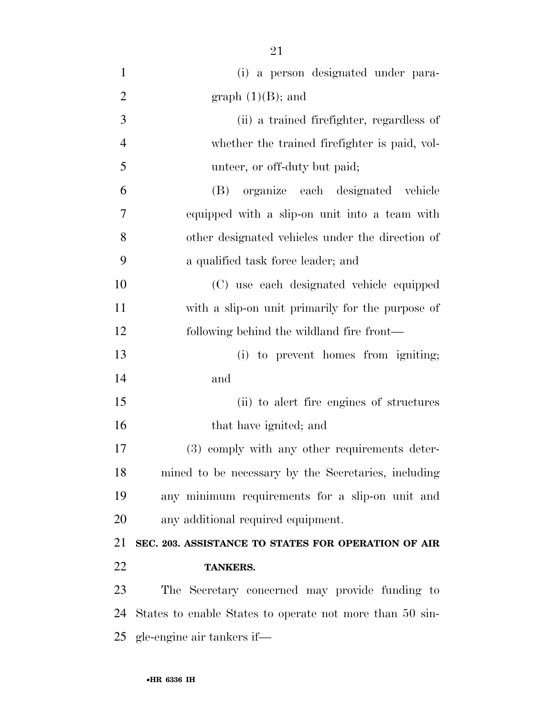| $\mathbf{1}$                     | (i) a person designated under para-                      |
|----------------------------------|----------------------------------------------------------|
| $\overline{2}$                   | graph $(1)(B)$ ; and                                     |
| 3                                | (ii) a trained firefighter, regardless of                |
| $\overline{4}$                   | whether the trained firefighter is paid, vol-            |
| 5                                | unteer, or off-duty but paid;                            |
| 6                                | (B) organize each designated vehicle                     |
| 7                                | equipped with a slip-on unit into a team with            |
| 8                                | other designated vehicles under the direction of         |
| 9                                | a qualified task force leader; and                       |
| 10                               | (C) use each designated vehicle equipped                 |
| 11                               | with a slip-on unit primarily for the purpose of         |
| 12                               | following behind the wildland fire front—                |
| 13                               | (i) to prevent homes from igniting;                      |
| 14                               | and                                                      |
| 15                               | (ii) to alert fire engines of structures                 |
| 16                               | that have ignited; and                                   |
| 17                               | (3) comply with any other requirements deter-            |
| 18                               | mined to be necessary by the Secretaries, including      |
| 19                               | any minimum requirements for a slip-on unit and          |
| 20                               | any additional required equipment.                       |
| 21                               | SEC. 203. ASSISTANCE TO STATES FOR OPERATION OF AIR      |
| 22                               | <b>TANKERS.</b>                                          |
| 23                               | The Secretary concerned may provide funding to           |
| 24                               | States to enable States to operate not more than 50 sin- |
| gle-engine air tankers if—<br>25 |                                                          |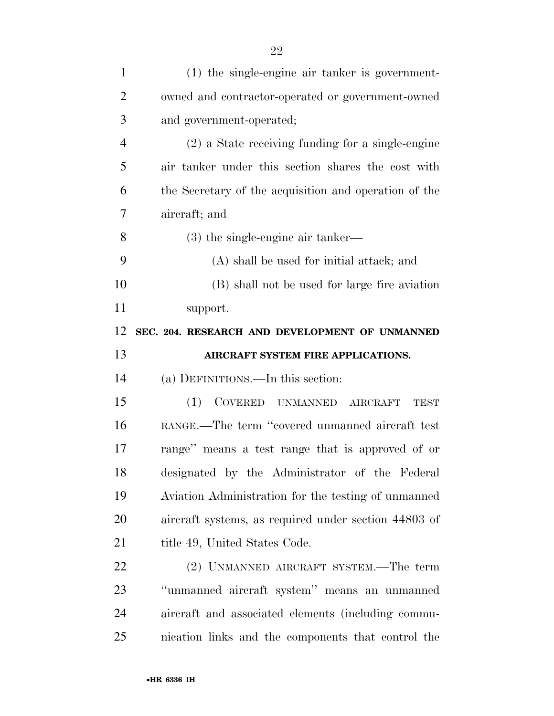| $\mathbf{1}$   | $(1)$ the single-engine air tanker is government-     |
|----------------|-------------------------------------------------------|
| $\overline{2}$ | owned and contractor-operated or government-owned     |
| 3              | and government-operated;                              |
| $\overline{4}$ | $(2)$ a State receiving funding for a single-engine   |
| 5              | air tanker under this section shares the cost with    |
| 6              | the Secretary of the acquisition and operation of the |
| 7              | aircraft; and                                         |
| 8              | $(3)$ the single-engine air tanker—                   |
| 9              | (A) shall be used for initial attack; and             |
| 10             | (B) shall not be used for large fire aviation         |
| 11             | support.                                              |
| 12             | SEC. 204. RESEARCH AND DEVELOPMENT OF UNMANNED        |
|                |                                                       |
| 13             | AIRCRAFT SYSTEM FIRE APPLICATIONS.                    |
| 14             | (a) DEFINITIONS.—In this section:                     |
| 15             | COVERED UNMANNED AIRCRAFT<br>(1)<br><b>TEST</b>       |
| 16             | RANGE.—The term "covered unmanned aircraft test       |
| 17             | range" means a test range that is approved of or      |
| 18             | designated by the Administrator of the Federal        |
| 19             | Aviation Administration for the testing of unmanned   |
| 20             | aircraft systems, as required under section 44803 of  |
| 21             | title 49, United States Code.                         |
| 22             | (2) UNMANNED AIRCRAFT SYSTEM.—The term                |
| 23             | "unmanned aircraft system" means an unmanned          |
| 24             | aircraft and associated elements (including commu-    |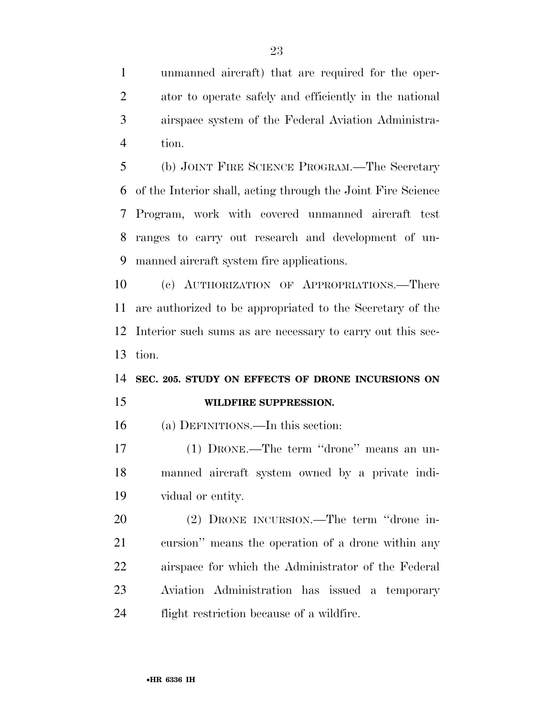unmanned aircraft) that are required for the oper- ator to operate safely and efficiently in the national airspace system of the Federal Aviation Administra-tion.

 (b) JOINT FIRE SCIENCE PROGRAM.—The Secretary of the Interior shall, acting through the Joint Fire Science Program, work with covered unmanned aircraft test ranges to carry out research and development of un-manned aircraft system fire applications.

 (c) AUTHORIZATION OF APPROPRIATIONS.—There are authorized to be appropriated to the Secretary of the Interior such sums as are necessary to carry out this sec-tion.

## **SEC. 205. STUDY ON EFFECTS OF DRONE INCURSIONS ON**

### **WILDFIRE SUPPRESSION.**

(a) DEFINITIONS.—In this section:

 (1) DRONE.—The term ''drone'' means an un- manned aircraft system owned by a private indi-vidual or entity.

 (2) DRONE INCURSION.—The term ''drone in- cursion'' means the operation of a drone within any airspace for which the Administrator of the Federal Aviation Administration has issued a temporary flight restriction because of a wildfire.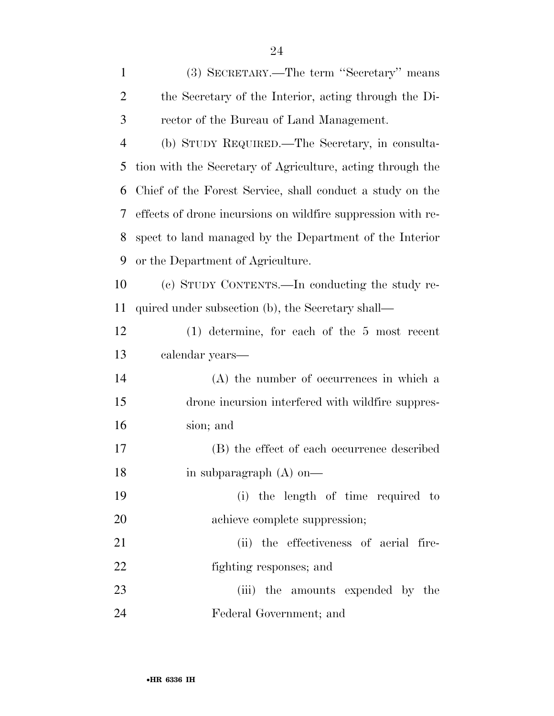| $\mathbf{1}$   | (3) SECRETARY.—The term "Secretary" means                    |
|----------------|--------------------------------------------------------------|
| $\overline{2}$ | the Secretary of the Interior, acting through the Di-        |
| 3              | rector of the Bureau of Land Management.                     |
| $\overline{4}$ | (b) STUDY REQUIRED.—The Secretary, in consulta-              |
| 5              | tion with the Secretary of Agriculture, acting through the   |
| 6              | Chief of the Forest Service, shall conduct a study on the    |
| 7              | effects of drone incursions on wildfire suppression with re- |
| 8              | spect to land managed by the Department of the Interior      |
| 9              | or the Department of Agriculture.                            |
| 10             | (c) STUDY CONTENTS.—In conducting the study re-              |
| 11             | quired under subsection (b), the Secretary shall—            |
| 12             | $(1)$ determine, for each of the 5 most recent               |
| 13             | calendar years—                                              |
| 14             | (A) the number of occurrences in which a                     |
| 15             | drone incursion interfered with wildfire suppres-            |
| 16             | sion; and                                                    |
| 17             | (B) the effect of each occurrence described                  |
| 18             | in subparagraph $(A)$ on-                                    |
| 19             | (i) the length of time required to                           |
| 20             | achieve complete suppression;                                |
| 21             | (ii) the effectiveness of aerial fire-                       |
| 22             | fighting responses; and                                      |
| 23             | (iii) the amounts expended by the                            |
| 24             | Federal Government; and                                      |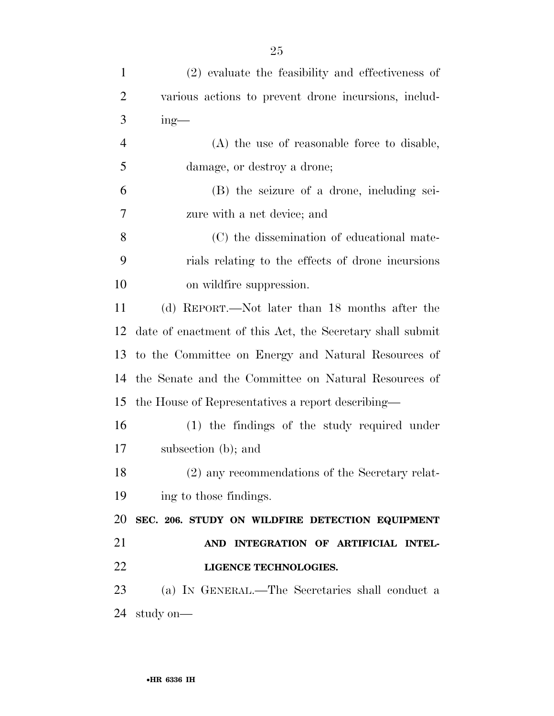| $\mathbf{1}$   | (2) evaluate the feasibility and effectiveness of         |
|----------------|-----------------------------------------------------------|
| $\overline{2}$ | various actions to prevent drone incursions, includ-      |
| 3              | $ing$ —                                                   |
| $\overline{4}$ | (A) the use of reasonable force to disable,               |
| 5              | damage, or destroy a drone;                               |
| 6              | (B) the seizure of a drone, including sei-                |
| 7              | zure with a net device; and                               |
| 8              | (C) the dissemination of educational mate-                |
| 9              | rials relating to the effects of drone incursions         |
| 10             | on wildfire suppression.                                  |
| 11             | (d) REPORT.—Not later than 18 months after the            |
| 12             | date of enactment of this Act, the Secretary shall submit |
| 13             | to the Committee on Energy and Natural Resources of       |
| 14             | the Senate and the Committee on Natural Resources of      |
| 15             | the House of Representatives a report describing—         |
| 16             | $(1)$ the findings of the study required under            |
| 17             | subsection (b); and                                       |
| 18             | (2) any recommendations of the Secretary relat-           |
| 19             | ing to those findings.                                    |
| 20             | SEC. 206. STUDY ON WILDFIRE DETECTION EQUIPMENT           |
| 21             | AND INTEGRATION OF ARTIFICIAL INTEL-                      |
| 22             | LIGENCE TECHNOLOGIES.                                     |
| 23             | (a) IN GENERAL.—The Secretaries shall conduct a           |
| 24             | study on-                                                 |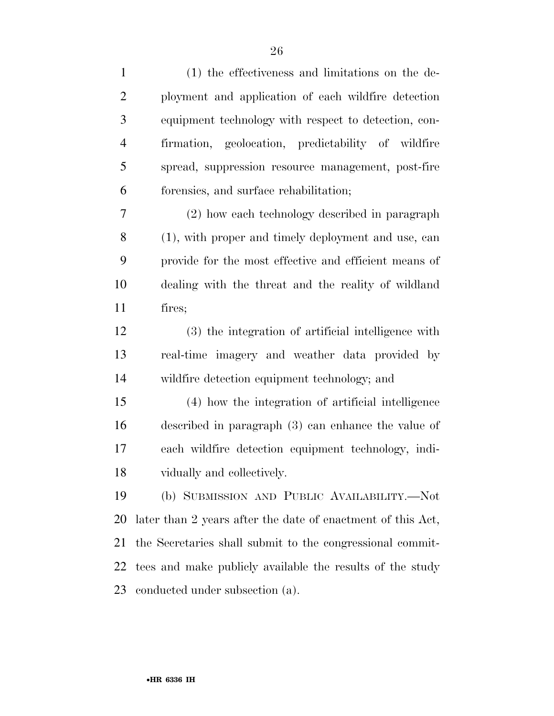| $\mathbf{1}$   | (1) the effectiveness and limitations on the de-            |
|----------------|-------------------------------------------------------------|
| $\overline{2}$ | ployment and application of each wildfire detection         |
| 3              | equipment technology with respect to detection, con-        |
| $\overline{4}$ | firmation, geolocation, predictability of wildfire          |
| 5              | spread, suppression resource management, post-fire          |
| 6              | forensies, and surface rehabilitation;                      |
| 7              | (2) how each technology described in paragraph              |
| $8\,$          | (1), with proper and timely deployment and use, can         |
| 9              | provide for the most effective and efficient means of       |
| 10             | dealing with the threat and the reality of wildland         |
| 11             | fires;                                                      |
| 12             | (3) the integration of artificial intelligence with         |
| 13             | real-time imagery and weather data provided by              |
| 14             | wildfire detection equipment technology; and                |
| 15             | (4) how the integration of artificial intelligence          |
| 16             | described in paragraph (3) can enhance the value of         |
| 17             | each wildfire detection equipment technology, indi-         |
| 18             | vidually and collectively.                                  |
| 19             | (b) SUBMISSION AND PUBLIC AVAILABILITY.—Not                 |
| 20             | later than 2 years after the date of enactment of this Act, |
| 21             | the Secretaries shall submit to the congressional commit-   |
| 22             | tees and make publicly available the results of the study   |
| 23             | conducted under subsection (a).                             |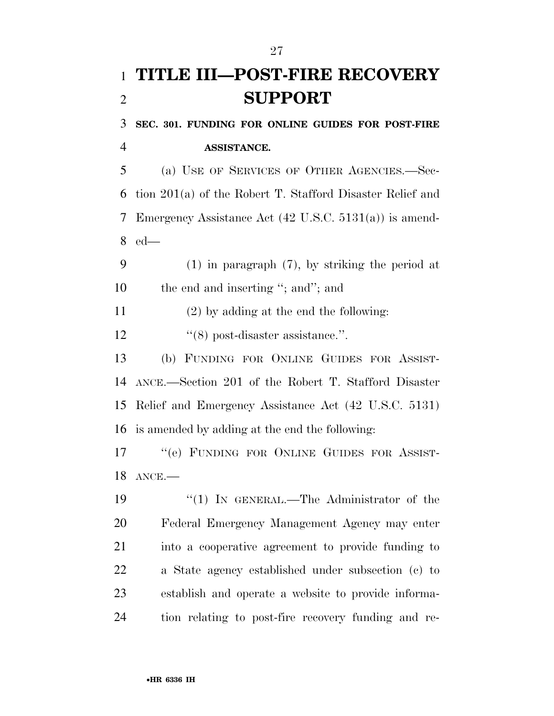## **TITLE III—POST-FIRE RECOVERY SUPPORT**

 **SEC. 301. FUNDING FOR ONLINE GUIDES FOR POST-FIRE ASSISTANCE.** 

 (a) USE OF SERVICES OF OTHER AGENCIES.—Sec- tion 201(a) of the Robert T. Stafford Disaster Relief and Emergency Assistance Act (42 U.S.C. 5131(a)) is amend-ed—

 (1) in paragraph (7), by striking the period at 10 the end and inserting "; and"; and

(2) by adding at the end the following:

12  $\frac{1}{8}$  post-disaster assistance.".

 (b) FUNDING FOR ONLINE GUIDES FOR ASSIST- ANCE.—Section 201 of the Robert T. Stafford Disaster Relief and Emergency Assistance Act (42 U.S.C. 5131) is amended by adding at the end the following:

 ''(e) FUNDING FOR ONLINE GUIDES FOR ASSIST-ANCE.—

19 "(1) IN GENERAL.—The Administrator of the Federal Emergency Management Agency may enter into a cooperative agreement to provide funding to a State agency established under subsection (c) to establish and operate a website to provide informa-tion relating to post-fire recovery funding and re-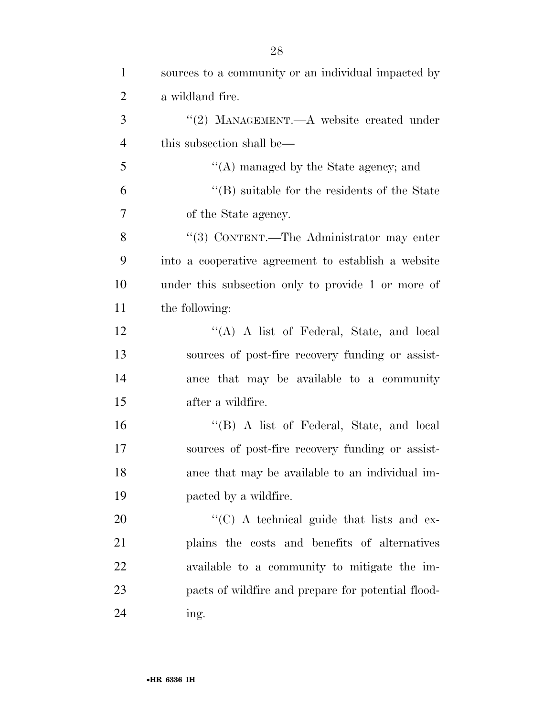| $\mathbf{1}$   | sources to a community or an individual impacted by |
|----------------|-----------------------------------------------------|
| $\overline{2}$ | a wildland fire.                                    |
| 3              | "(2) MANAGEMENT.— $A$ website created under         |
| $\overline{4}$ | this subsection shall be—                           |
| 5              | $\lq\lq$ managed by the State agency; and           |
| 6              | $\lq\lq$ suitable for the residents of the State    |
| $\overline{7}$ | of the State agency.                                |
| 8              | "(3) CONTENT.—The Administrator may enter           |
| 9              | into a cooperative agreement to establish a website |
| 10             | under this subsection only to provide 1 or more of  |
| 11             | the following:                                      |
| 12             | "(A) A list of Federal, State, and local            |
| 13             | sources of post-fire recovery funding or assist-    |
| 14             | ance that may be available to a community           |
| 15             | after a wildfire.                                   |
| 16             | "(B) A list of Federal, State, and local            |
| 17             | sources of post-fire recovery funding or assist-    |
| 18             | ance that may be available to an individual im-     |
| 19             | pacted by a wildfire.                               |
| 20             | "(C) A technical guide that lists and ex-           |
| 21             | plains the costs and benefits of alternatives       |
| 22             | available to a community to mitigate the im-        |
| 23             | pacts of wildfire and prepare for potential flood-  |
| 24             | ing.                                                |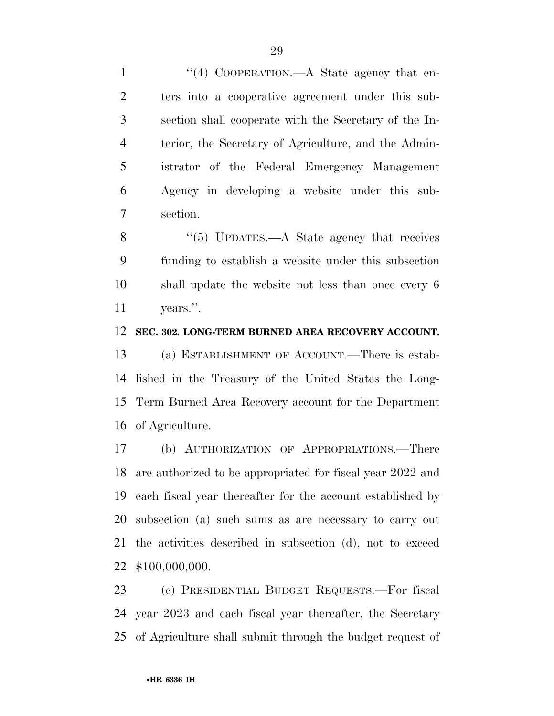1 "(4) COOPERATION.—A State agency that en- ters into a cooperative agreement under this sub- section shall cooperate with the Secretary of the In- terior, the Secretary of Agriculture, and the Admin- istrator of the Federal Emergency Management Agency in developing a website under this sub-section.

8 "(5) UPDATES.—A State agency that receives funding to establish a website under this subsection shall update the website not less than once every 6 years.''.

### **SEC. 302. LONG-TERM BURNED AREA RECOVERY ACCOUNT.**

 (a) ESTABLISHMENT OF ACCOUNT.—There is estab- lished in the Treasury of the United States the Long- Term Burned Area Recovery account for the Department of Agriculture.

 (b) AUTHORIZATION OF APPROPRIATIONS.—There are authorized to be appropriated for fiscal year 2022 and each fiscal year thereafter for the account established by subsection (a) such sums as are necessary to carry out the activities described in subsection (d), not to exceed \$100,000,000.

 (c) PRESIDENTIAL BUDGET REQUESTS.—For fiscal year 2023 and each fiscal year thereafter, the Secretary of Agriculture shall submit through the budget request of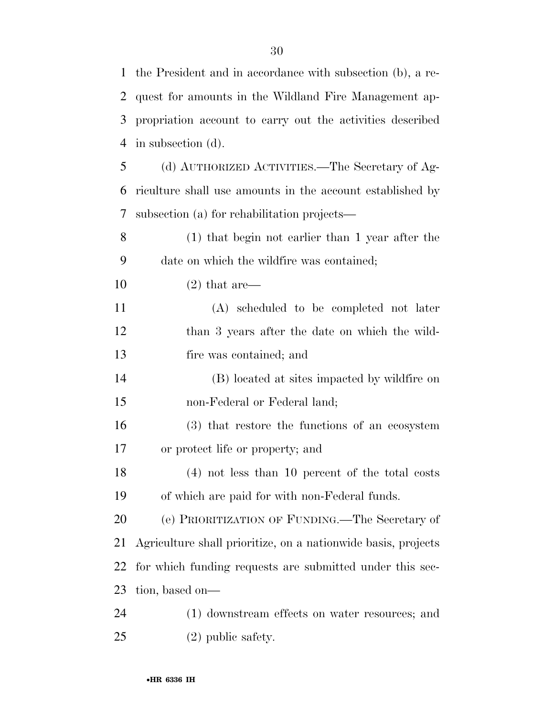| $\mathbf{1}$   | the President and in accordance with subsection (b), a re-    |
|----------------|---------------------------------------------------------------|
| 2              | quest for amounts in the Wildland Fire Management ap-         |
| 3              | propriation account to carry out the activities described     |
| $\overline{4}$ | in subsection (d).                                            |
| 5              | (d) AUTHORIZED ACTIVITIES.—The Secretary of Ag-               |
| 6              | riculture shall use amounts in the account established by     |
| 7              | subsection (a) for rehabilitation projects—                   |
| 8              | (1) that begin not earlier than 1 year after the              |
| 9              | date on which the wildfire was contained;                     |
| 10             | $(2)$ that are—                                               |
| 11             | (A) scheduled to be completed not later                       |
| 12             | than 3 years after the date on which the wild-                |
| 13             | fire was contained; and                                       |
| 14             | (B) located at sites impacted by wildfire on                  |
| 15             | non-Federal or Federal land;                                  |
| 16             | (3) that restore the functions of an ecosystem                |
| 17             | or protect life or property; and                              |
| 18             | (4) not less than 10 percent of the total costs               |
| 19             | of which are paid for with non-Federal funds.                 |
| 20             | (e) PRIORITIZATION OF FUNDING.—The Secretary of               |
| 21             | Agriculture shall prioritize, on a nationwide basis, projects |
| 22             | for which funding requests are submitted under this sec-      |
| 23             | tion, based on—                                               |
| 24             | (1) downstream effects on water resources; and                |
| 25             | $(2)$ public safety.                                          |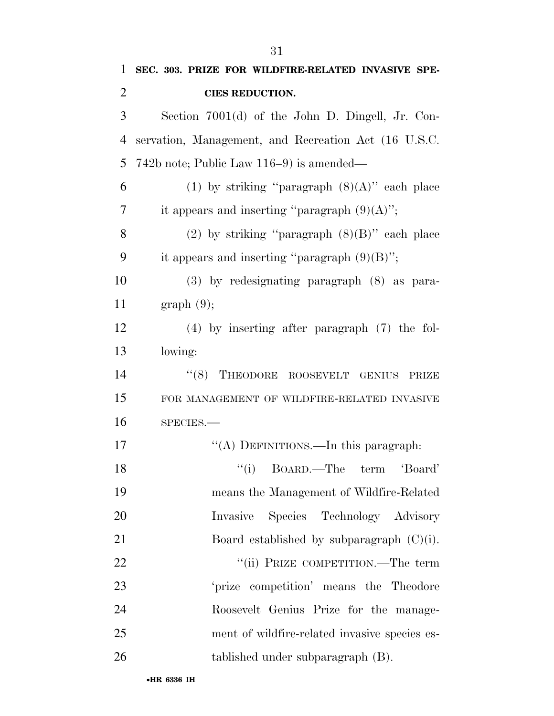| $\mathbf{1}$   | SEC. 303. PRIZE FOR WILDFIRE-RELATED INVASIVE SPE-   |
|----------------|------------------------------------------------------|
| $\overline{2}$ | <b>CIES REDUCTION.</b>                               |
| 3              | Section 7001(d) of the John D. Dingell, Jr. Con-     |
| $\overline{4}$ | servation, Management, and Recreation Act (16 U.S.C. |
| 5              | $742b$ note; Public Law $116-9$ is amended—          |
| 6              | (1) by striking "paragraph $(8)(A)$ " each place     |
| $\overline{7}$ | it appears and inserting "paragraph $(9)(A)$ ";      |
| 8              | (2) by striking "paragraph $(8)(B)$ " each place     |
| 9              | it appears and inserting "paragraph $(9)(B)$ ";      |
| 10             | $(3)$ by redesignating paragraph $(8)$ as para-      |
| 11             | graph(9);                                            |
| 12             | $(4)$ by inserting after paragraph $(7)$ the fol-    |
| 13             | lowing:                                              |
| 14             | "(8) THEODORE ROOSEVELT GENIUS<br>PRIZE              |
| 15             | FOR MANAGEMENT OF WILDFIRE-RELATED INVASIVE          |
| 16             | SPECIES.                                             |
| 17             | "(A) DEFINITIONS.—In this paragraph:                 |
| 18             | "(i) BOARD.—The term 'Board'                         |
| 19             | means the Management of Wildfire-Related             |
| 20             | Species Technology Advisory<br>Invasive              |
| 21             | Board established by subparagraph $(C)(i)$ .         |
| 22             | "(ii) PRIZE COMPETITION.—The term                    |
| 23             | 'prize competition' means the Theodore               |
| 24             | Roosevelt Genius Prize for the manage-               |
| 25             | ment of wildfire-related invasive species es-        |
| 26             | tablished under subparagraph (B).                    |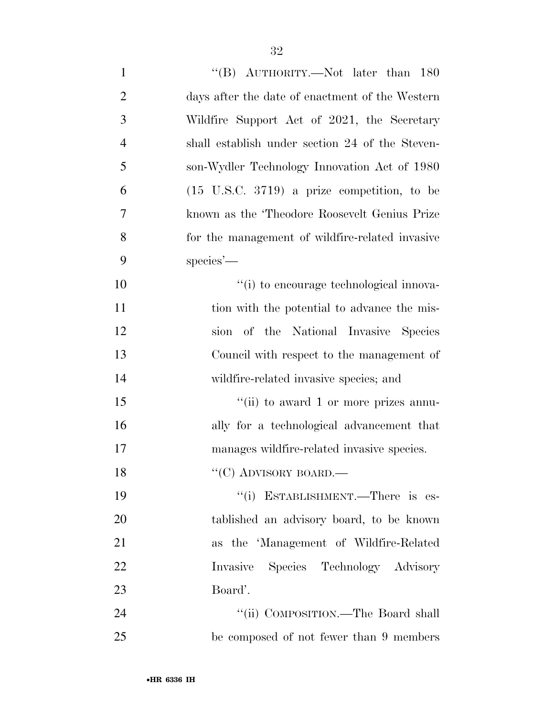| $\mathbf{1}$   | "(B) $\text{AUTHORITY}$ . Not later than 180           |
|----------------|--------------------------------------------------------|
| $\overline{2}$ | days after the date of enactment of the Western        |
| 3              | Wildfire Support Act of 2021, the Secretary            |
| $\overline{4}$ | shall establish under section 24 of the Steven-        |
| 5              | son-Wydler Technology Innovation Act of 1980           |
| 6              | $(15 \text{ U.S.C. } 3719)$ a prize competition, to be |
| 7              | known as the 'Theodore Roosevelt Genius Prize          |
| 8              | for the management of wildfire-related invasive        |
| 9              | $species'$ —                                           |
| 10             | "(i) to encourage technological innova-                |
| 11             | tion with the potential to advance the mis-            |
| 12             | sion of the National Invasive Species                  |
| 13             | Council with respect to the management of              |
| 14             | wildfire-related invasive species; and                 |
| 15             | "(ii) to award 1 or more prizes annu-                  |
| 16             | ally for a technological advancement that              |
| 17             | manages wildfire-related invasive species.             |
| 18             | "(C) ADVISORY BOARD.—                                  |
| 19             | "(i) ESTABLISHMENT.—There is es-                       |
| 20             | tablished an advisory board, to be known               |
| 21             | as the 'Management of Wildfire-Related                 |
| 22             | Invasive Species Technology Advisory                   |
| 23             | Board'.                                                |
| 24             | "(ii) COMPOSITION.—The Board shall                     |
| 25             | be composed of not fewer than 9 members                |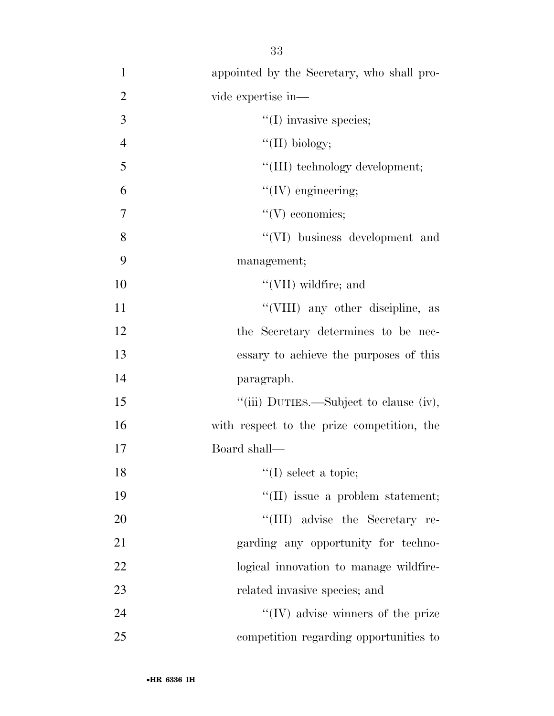| $\mathbf{1}$   | appointed by the Secretary, who shall pro- |
|----------------|--------------------------------------------|
| $\overline{2}$ | vide expertise in-                         |
| 3              | $\lq\lq$ (I) invasive species;             |
| $\overline{4}$ | "(II) biology;                             |
| 5              | "(III) technology development;             |
| 6              | $\lq\lq$ (IV) engineering;                 |
| $\overline{7}$ | $\lq\lq(V)$ economics;                     |
| 8              | "(VI) business development and             |
| 9              | management;                                |
| 10             | $\lq\lq$ (VII) wildfire; and               |
| 11             | "(VIII) any other discipline, as           |
| 12             | the Secretary determines to be nec-        |
| 13             | essary to achieve the purposes of this     |
| 14             | paragraph.                                 |
| 15             | "(iii) DUTIES.—Subject to clause (iv),     |
| 16             | with respect to the prize competition, the |
| 17             | Board shall—                               |
| 18             | $\lq\lq$ select a topic;                   |
| 19             | "(II) issue a problem statement;           |
| 20             | "(III) advise the Secretary re-            |
| 21             | garding any opportunity for techno-        |
| 22             | logical innovation to manage wildfire-     |
| 23             | related invasive species; and              |
| 24             | $\lq\lq$ (IV) advise winners of the prize  |
| 25             | competition regarding opportunities to     |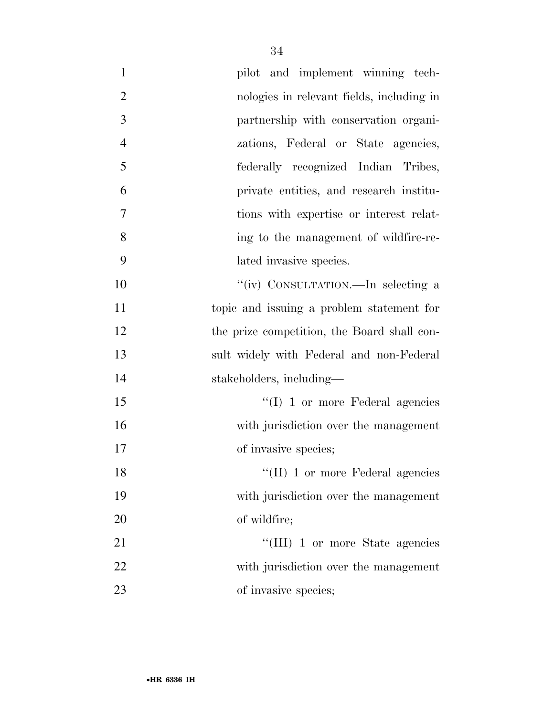| $\mathbf{1}$   | pilot and implement winning tech-           |
|----------------|---------------------------------------------|
| $\overline{2}$ | nologies in relevant fields, including in   |
| 3              | partnership with conservation organi-       |
| $\overline{4}$ | zations, Federal or State agencies,         |
| 5              | federally recognized Indian Tribes,         |
| 6              | private entities, and research institu-     |
| 7              | tions with expertise or interest relat-     |
| 8              | ing to the management of wildfire-re-       |
| 9              | lated invasive species.                     |
| 10             | "(iv) CONSULTATION.—In selecting a          |
| 11             | topic and issuing a problem statement for   |
| 12             | the prize competition, the Board shall con- |
| 13             | sult widely with Federal and non-Federal    |
| 14             | stakeholders, including—                    |
| 15             | $\lq\lq$ (I) 1 or more Federal agencies     |
| 16             | with jurisdiction over the management       |
| 17             | of invasive species;                        |
| 18             | $\lq\lq$ (II) 1 or more Federal agencies    |
| 19             | with jurisdiction over the management       |
| 20             | of wildfire;                                |
| 21             | "(III) 1 or more State agencies             |
| 22             | with jurisdiction over the management       |
| 23             | of invasive species;                        |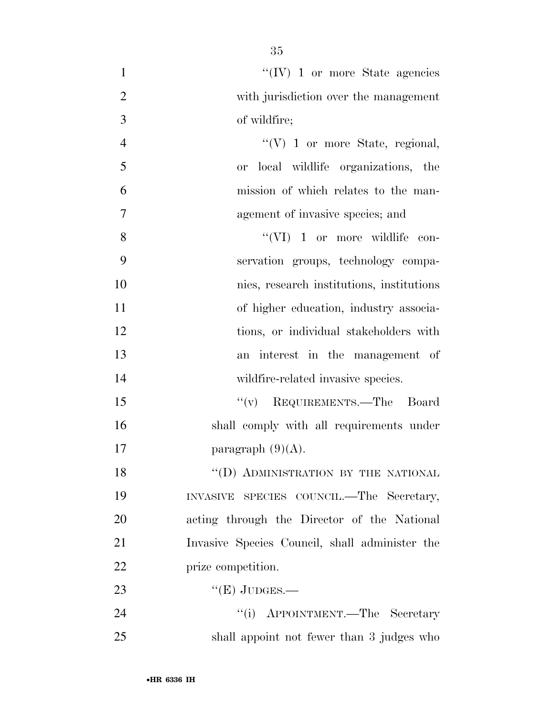| $\mathbf{1}$   | "(IV) 1 or more State agencies                 |
|----------------|------------------------------------------------|
| $\overline{2}$ | with jurisdiction over the management          |
| 3              | of wildfire;                                   |
| $\overline{4}$ | $\lq\lq(V)$ 1 or more State, regional,         |
| 5              | local wildlife organizations, the<br><b>or</b> |
| 6              | mission of which relates to the man-           |
| 7              | agement of invasive species; and               |
| 8              | "(VI) 1 or more wildlife con-                  |
| 9              | servation groups, technology compa-            |
| 10             | nies, research institutions, institutions      |
| 11             | of higher education, industry associa-         |
| 12             | tions, or individual stakeholders with         |
| 13             | an interest in the management of               |
| 14             | wildfire-related invasive species.             |
| 15             | "(v) REQUIREMENTS.—The Board                   |
| 16             | shall comply with all requirements under       |
| 17             | paragraph $(9)(A)$ .                           |
| 18             | "(D) ADMINISTRATION BY THE NATIONAL            |
| 19             | INVASIVE SPECIES COUNCIL.—The Secretary,       |
| 20             | acting through the Director of the National    |
| 21             | Invasive Species Council, shall administer the |
| 22             | prize competition.                             |
| 23             | " $(E)$ JUDGES.—                               |
| 24             | "(i) APPOINTMENT.—The Secretary                |
| 25             | shall appoint not fewer than 3 judges who      |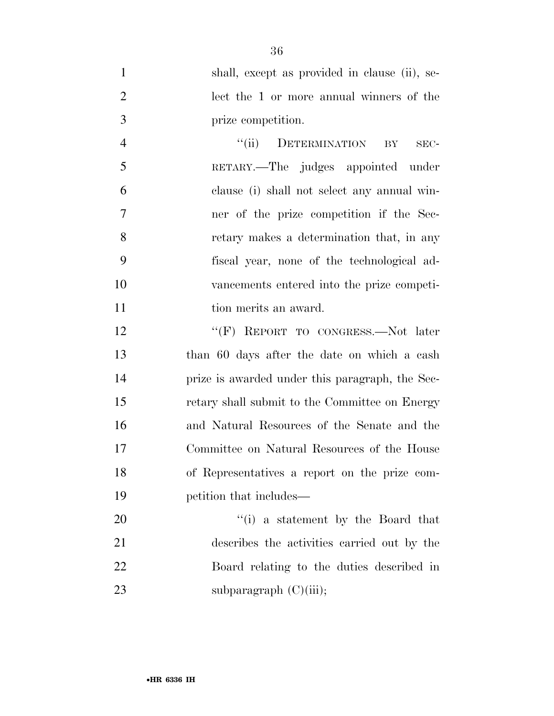| $\mathbf{1}$   | shall, except as provided in clause (ii), se- |
|----------------|-----------------------------------------------|
| 2              | lect the 1 or more annual winners of the      |
| 3              | prize competition.                            |
| $\overline{4}$ | DETERMINATION BY<br>``(ii)<br>SEC-            |
| 5              | RETARY.—The judges appointed under            |
| 6              | clause (i) shall not select any annual win-   |

 clause (i) shall not select any annual win- ner of the prize competition if the Sec- retary makes a determination that, in any fiscal year, none of the technological ad- vancements entered into the prize competi-11 tion merits an award.

12 "'(F) REPORT TO CONGRESS.—Not later than 60 days after the date on which a cash prize is awarded under this paragraph, the Sec- retary shall submit to the Committee on Energy and Natural Resources of the Senate and the Committee on Natural Resources of the House of Representatives a report on the prize com-petition that includes—

 $\frac{1}{1}$  a statement by the Board that describes the activities carried out by the Board relating to the duties described in 23 subparagraph (C)(iii);